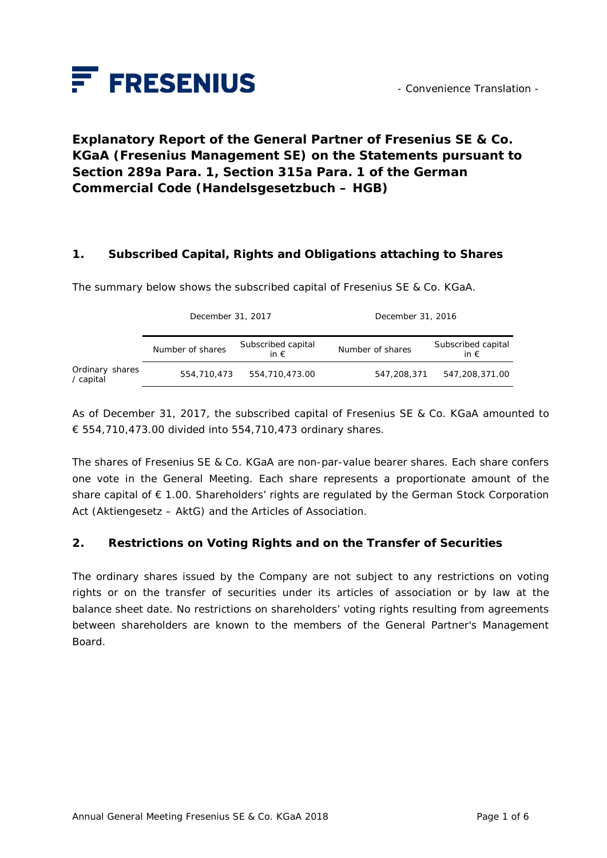

# **Explanatory Report of the General Partner of Fresenius SE & Co. KGaA (Fresenius Management SE) on the Statements pursuant to Section 289a Para. 1, Section 315a Para. 1 of the German Commercial Code (***Handelsgesetzbuch – HGB***)**

#### **1. Subscribed Capital, Rights and Obligations attaching to Shares**

The summary below shows the subscribed capital of Fresenius SE & Co. KGaA.

|                              | December 31, 2017 |                                     | December 31, 2016 |                                     |
|------------------------------|-------------------|-------------------------------------|-------------------|-------------------------------------|
|                              | Number of shares  | Subscribed capital<br>in $\epsilon$ | Number of shares  | Subscribed capital<br>in $\epsilon$ |
| Ordinary shares<br>/ capital | 554,710,473       | 554,710,473.00                      | 547,208,371       | 547,208,371.00                      |

As of December 31, 2017, the subscribed capital of Fresenius SE & Co. KGaA amounted to € 554,710,473.00 divided into 554,710,473 ordinary shares.

The shares of Fresenius SE & Co. KGaA are non-par-value bearer shares. Each share confers one vote in the General Meeting. Each share represents a proportionate amount of the share capital of € 1.00. Shareholders' rights are regulated by the German Stock Corporation Act (*Aktiengesetz – AktG*) and the Articles of Association.

#### **2. Restrictions on Voting Rights and on the Transfer of Securities**

The ordinary shares issued by the Company are not subject to any restrictions on voting rights or on the transfer of securities under its articles of association or by law at the balance sheet date. No restrictions on shareholders' voting rights resulting from agreements between shareholders are known to the members of the General Partner's Management Board.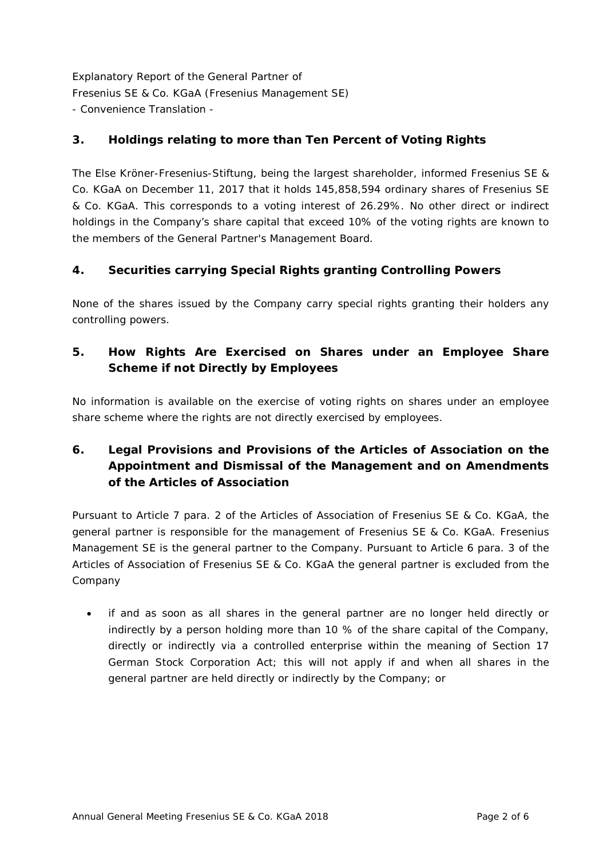### **3. Holdings relating to more than Ten Percent of Voting Rights**

The Else Kröner-Fresenius-Stiftung, being the largest shareholder, informed Fresenius SE & Co. KGaA on December 11, 2017 that it holds 145,858,594 ordinary shares of Fresenius SE & Co. KGaA. This corresponds to a voting interest of 26.29%. No other direct or indirect holdings in the Company's share capital that exceed 10% of the voting rights are known to the members of the General Partner's Management Board.

### **4. Securities carrying Special Rights granting Controlling Powers**

None of the shares issued by the Company carry special rights granting their holders any controlling powers.

## **5. How Rights Are Exercised on Shares under an Employee Share Scheme if not Directly by Employees**

No information is available on the exercise of voting rights on shares under an employee share scheme where the rights are not directly exercised by employees.

## **6. Legal Provisions and Provisions of the Articles of Association on the Appointment and Dismissal of the Management and on Amendments of the Articles of Association**

Pursuant to Article 7 para. 2 of the Articles of Association of Fresenius SE & Co. KGaA, the general partner is responsible for the management of Fresenius SE & Co. KGaA. Fresenius Management SE is the general partner to the Company. Pursuant to Article 6 para. 3 of the Articles of Association of Fresenius SE & Co. KGaA the general partner is excluded from the Company

• if and as soon as all shares in the general partner are no longer held directly or indirectly by a person holding more than 10 % of the share capital of the Company, directly or indirectly via a controlled enterprise within the meaning of Section 17 German Stock Corporation Act; this will not apply if and when all shares in the general partner are held directly or indirectly by the Company; or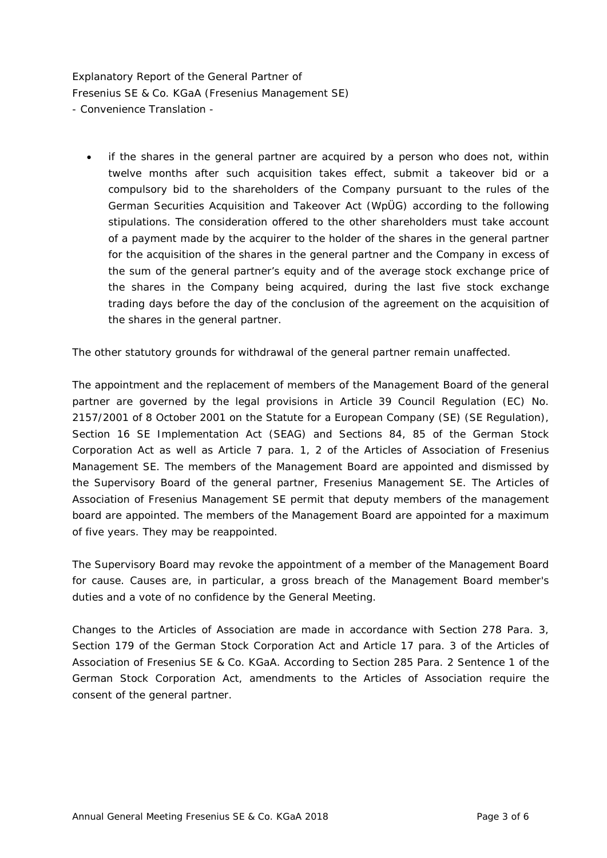• if the shares in the general partner are acquired by a person who does not, within twelve months after such acquisition takes effect, submit a takeover bid or a compulsory bid to the shareholders of the Company pursuant to the rules of the German Securities Acquisition and Takeover Act (WpÜG) according to the following stipulations. The consideration offered to the other shareholders must take account of a payment made by the acquirer to the holder of the shares in the general partner for the acquisition of the shares in the general partner and the Company in excess of the sum of the general partner's equity and of the average stock exchange price of the shares in the Company being acquired, during the last five stock exchange trading days before the day of the conclusion of the agreement on the acquisition of the shares in the general partner.

The other statutory grounds for withdrawal of the general partner remain unaffected.

The appointment and the replacement of members of the Management Board of the general partner are governed by the legal provisions in Article 39 Council Regulation (EC) No. 2157/2001 of 8 October 2001 on the Statute for a European Company (SE) (SE Regulation), Section 16 SE Implementation Act (SEAG) and Sections 84, 85 of the German Stock Corporation Act as well as Article 7 para. 1, 2 of the Articles of Association of Fresenius Management SE. The members of the Management Board are appointed and dismissed by the Supervisory Board of the general partner, Fresenius Management SE. The Articles of Association of Fresenius Management SE permit that deputy members of the management board are appointed. The members of the Management Board are appointed for a maximum of five years. They may be reappointed.

The Supervisory Board may revoke the appointment of a member of the Management Board for cause. Causes are, in particular, a gross breach of the Management Board member's duties and a vote of no confidence by the General Meeting.

Changes to the Articles of Association are made in accordance with Section 278 Para. 3, Section 179 of the German Stock Corporation Act and Article 17 para. 3 of the Articles of Association of Fresenius SE & Co. KGaA. According to Section 285 Para. 2 Sentence 1 of the German Stock Corporation Act, amendments to the Articles of Association require the consent of the general partner.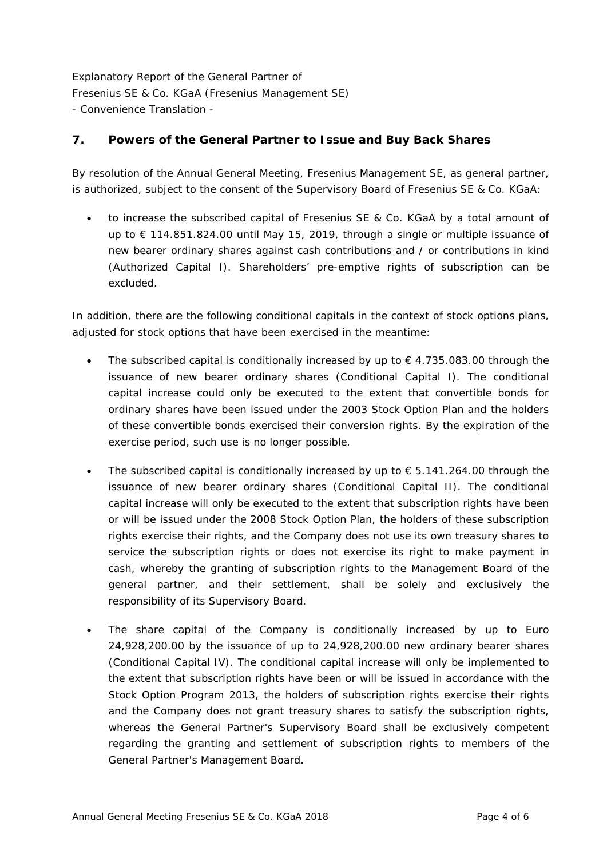#### **7. Powers of the General Partner to Issue and Buy Back Shares**

By resolution of the Annual General Meeting, Fresenius Management SE, as general partner, is authorized, subject to the consent of the Supervisory Board of Fresenius SE & Co. KGaA:

• to increase the subscribed capital of Fresenius SE & Co. KGaA by a total amount of up to € 114.851.824.00 until May 15, 2019, through a single or multiple issuance of new bearer ordinary shares against cash contributions and / or contributions in kind (Authorized Capital I). Shareholders' pre-emptive rights of subscription can be excluded.

In addition, there are the following conditional capitals in the context of stock options plans, adjusted for stock options that have been exercised in the meantime:

- The subscribed capital is conditionally increased by up to  $\epsilon$  4.735.083.00 through the issuance of new bearer ordinary shares (Conditional Capital I). The conditional capital increase could only be executed to the extent that convertible bonds for ordinary shares have been issued under the 2003 Stock Option Plan and the holders of these convertible bonds exercised their conversion rights. By the expiration of the exercise period, such use is no longer possible.
- The subscribed capital is conditionally increased by up to  $\epsilon$  5.141.264.00 through the issuance of new bearer ordinary shares (Conditional Capital II). The conditional capital increase will only be executed to the extent that subscription rights have been or will be issued under the 2008 Stock Option Plan, the holders of these subscription rights exercise their rights, and the Company does not use its own treasury shares to service the subscription rights or does not exercise its right to make payment in cash, whereby the granting of subscription rights to the Management Board of the general partner, and their settlement, shall be solely and exclusively the responsibility of its Supervisory Board.
- The share capital of the Company is conditionally increased by up to Euro 24,928,200.00 by the issuance of up to 24,928,200.00 new ordinary bearer shares (Conditional Capital IV). The conditional capital increase will only be implemented to the extent that subscription rights have been or will be issued in accordance with the Stock Option Program 2013, the holders of subscription rights exercise their rights and the Company does not grant treasury shares to satisfy the subscription rights, whereas the General Partner's Supervisory Board shall be exclusively competent regarding the granting and settlement of subscription rights to members of the General Partner's Management Board.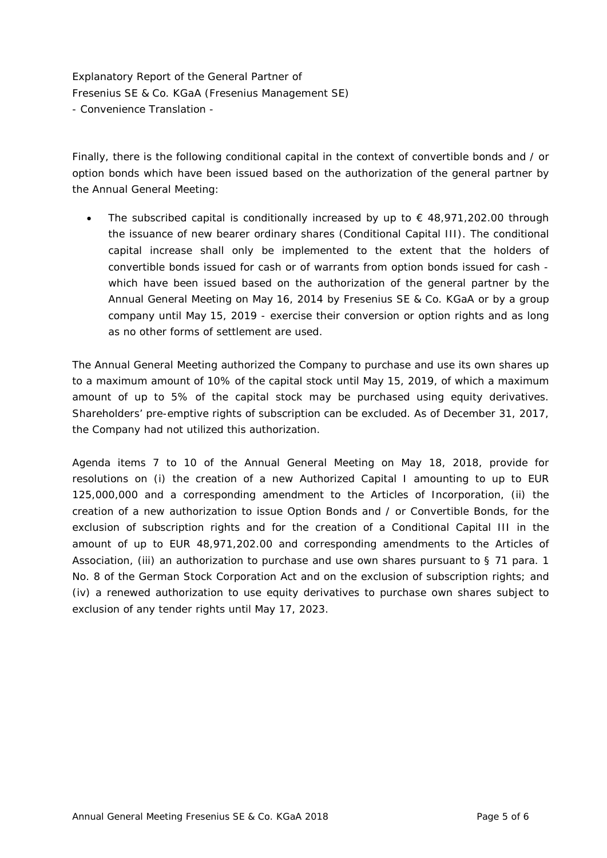Finally, there is the following conditional capital in the context of convertible bonds and / or option bonds which have been issued based on the authorization of the general partner by the Annual General Meeting:

The subscribed capital is conditionally increased by up to  $\epsilon$  48,971,202.00 through the issuance of new bearer ordinary shares (Conditional Capital III). The conditional capital increase shall only be implemented to the extent that the holders of convertible bonds issued for cash or of warrants from option bonds issued for cash which have been issued based on the authorization of the general partner by the Annual General Meeting on May 16, 2014 by Fresenius SE & Co. KGaA or by a group company until May 15, 2019 - exercise their conversion or option rights and as long as no other forms of settlement are used.

The Annual General Meeting authorized the Company to purchase and use its own shares up to a maximum amount of 10% of the capital stock until May 15, 2019, of which a maximum amount of up to 5% of the capital stock may be purchased using equity derivatives. Shareholders' pre-emptive rights of subscription can be excluded. As of December 31, 2017, the Company had not utilized this authorization.

Agenda items 7 to 10 of the Annual General Meeting on May 18, 2018, provide for resolutions on (i) the creation of a new Authorized Capital I amounting to up to EUR 125,000,000 and a corresponding amendment to the Articles of Incorporation, (ii) the creation of a new authorization to issue Option Bonds and / or Convertible Bonds, for the exclusion of subscription rights and for the creation of a Conditional Capital III in the amount of up to EUR 48,971,202.00 and corresponding amendments to the Articles of Association, (iii) an authorization to purchase and use own shares pursuant to § 71 para. 1 No. 8 of the German Stock Corporation Act and on the exclusion of subscription rights; and (iv) a renewed authorization to use equity derivatives to purchase own shares subject to exclusion of any tender rights until May 17, 2023.